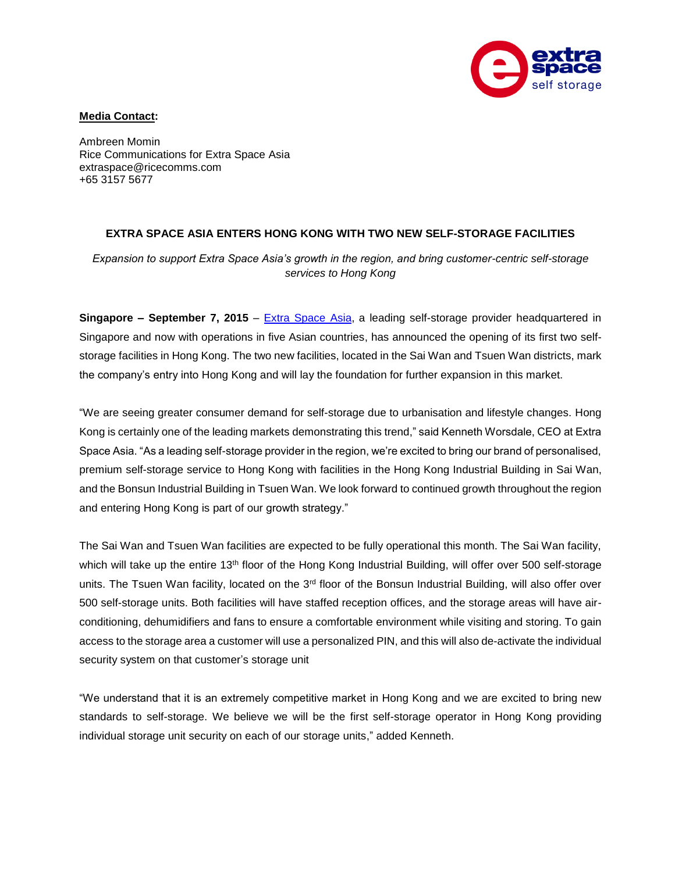

## **Media Contact:**

Ambreen Momin Rice Communications for Extra Space Asia extraspace@ricecomms.com +65 3157 5677

## **EXTRA SPACE ASIA ENTERS HONG KONG WITH TWO NEW SELF-STORAGE FACILITIES**

*Expansion to support Extra Space Asia's growth in the region, and bring customer-centric self-storage services to Hong Kong*

**Singapore – September 7, 2015** – [Extra Space](http://www.extraspaceasia.com/) Asia, a leading self-storage provider headquartered in Singapore and now with operations in five Asian countries, has announced the opening of its first two selfstorage facilities in Hong Kong. The two new facilities, located in the Sai Wan and Tsuen Wan districts, mark the company's entry into Hong Kong and will lay the foundation for further expansion in this market.

"We are seeing greater consumer demand for self-storage due to urbanisation and lifestyle changes. Hong Kong is certainly one of the leading markets demonstrating this trend," said Kenneth Worsdale, CEO at Extra Space Asia. "As a leading self-storage provider in the region, we're excited to bring our brand of personalised, premium self-storage service to Hong Kong with facilities in the Hong Kong Industrial Building in Sai Wan, and the Bonsun Industrial Building in Tsuen Wan. We look forward to continued growth throughout the region and entering Hong Kong is part of our growth strategy."

The Sai Wan and Tsuen Wan facilities are expected to be fully operational this month. The Sai Wan facility, which will take up the entire 13<sup>th</sup> floor of the Hong Kong Industrial Building, will offer over 500 self-storage units. The Tsuen Wan facility, located on the 3<sup>rd</sup> floor of the Bonsun Industrial Building, will also offer over 500 self-storage units. Both facilities will have staffed reception offices, and the storage areas will have airconditioning, dehumidifiers and fans to ensure a comfortable environment while visiting and storing. To gain access to the storage area a customer will use a personalized PIN, and this will also de-activate the individual security system on that customer's storage unit

"We understand that it is an extremely competitive market in Hong Kong and we are excited to bring new standards to self-storage. We believe we will be the first self-storage operator in Hong Kong providing individual storage unit security on each of our storage units," added Kenneth.